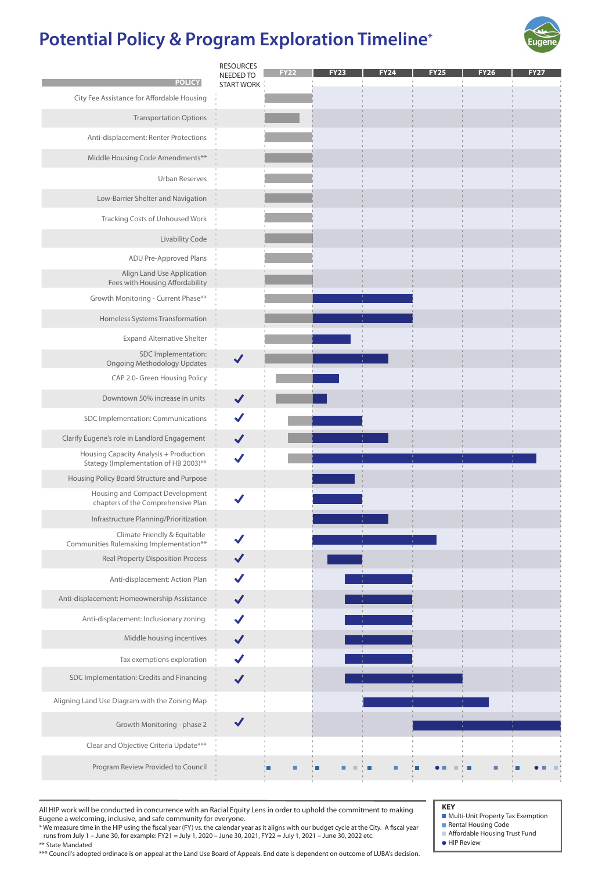\* We measure time in the HIP using the fiscal year (FY) vs. the calendar year as it aligns with our budget cycle at the City. A fiscal year runs from July 1 – June 30, for example: FY21 = July 1, 2020 – June 30, 2021, FY22 = July 1, 2021 – June 30, 2022 etc.

|                                                                                 | <b>RESOURCES</b><br>NEEDED TO | <b>FY22</b> | <b>FY23</b> | <b>FY24</b> | <b>FY25</b> | <b>FY26</b> | <b>FY27</b> |
|---------------------------------------------------------------------------------|-------------------------------|-------------|-------------|-------------|-------------|-------------|-------------|
| <b>POLICY</b>                                                                   | <b>START WORK</b>             |             |             |             |             |             |             |
| City Fee Assistance for Affordable Housing                                      |                               |             |             |             |             |             |             |
| <b>Transportation Options</b>                                                   |                               |             |             |             |             |             |             |
| Anti-displacement: Renter Protections                                           |                               |             |             |             |             |             |             |
| Middle Housing Code Amendments**                                                |                               |             |             |             |             |             |             |
| <b>Urban Reserves</b>                                                           |                               |             |             |             |             |             |             |
| Low-Barrier Shelter and Navigation                                              |                               |             |             |             |             |             |             |
| <b>Tracking Costs of Unhoused Work</b>                                          |                               |             |             |             |             |             |             |
| <b>Livability Code</b>                                                          |                               |             |             |             |             |             |             |
| ADU Pre-Approved Plans                                                          |                               |             |             |             |             |             |             |
| <b>Align Land Use Application</b><br>Fees with Housing Affordability            |                               |             |             |             |             |             |             |
| Growth Monitoring - Current Phase**                                             |                               |             |             |             |             |             |             |
| Homeless Systems Transformation                                                 |                               |             |             |             |             |             |             |
| <b>Expand Alternative Shelter</b>                                               |                               |             |             |             |             |             |             |
| SDC Implementation:<br><b>Ongoing Methodology Updates</b>                       |                               |             |             |             |             |             |             |
| CAP 2.0- Green Housing Policy                                                   |                               |             |             |             |             |             |             |
| Downtown 50% increase in units                                                  |                               |             |             |             |             |             |             |
| SDC Implementation: Communications                                              |                               |             |             |             |             |             |             |
| Clarify Eugene's role in Landlord Engagement                                    | $\blacktriangledown$          |             |             |             |             |             |             |
| Housing Capacity Analysis + Production<br>Stategy (Implementation of HB 2003)** |                               |             |             |             |             |             |             |
| Housing Policy Board Structure and Purpose                                      |                               |             |             |             |             |             |             |
| Housing and Compact Development<br>chapters of the Comprehensive Plan           |                               |             |             |             |             |             |             |
| Infrastructure Planning/Prioritization                                          |                               |             |             |             |             |             |             |
| Climate Friendly & Equitable<br>Communities Rulemaking Implementation**         |                               |             |             |             |             |             |             |
| <b>Real Property Disposition Process</b>                                        |                               |             |             |             |             |             |             |
| Anti-displacement: Action Plan                                                  |                               |             |             |             |             |             |             |
| Anti-displacement: Homeownership Assistance                                     |                               |             |             |             |             |             |             |
| Anti-displacement: Inclusionary zoning                                          |                               |             |             |             |             |             |             |
| Middle housing incentives                                                       |                               |             |             |             |             |             |             |
| Tax exemptions exploration                                                      |                               |             |             |             |             |             |             |
| SDC Implementation: Credits and Financing                                       |                               |             |             |             |             |             |             |
| Aligning Land Use Diagram with the Zoning Map                                   |                               |             |             |             |             |             |             |
| Growth Monitoring - phase 2                                                     |                               |             |             |             |             |             |             |
| Clear and Objective Criteria Update***                                          |                               |             |             |             |             |             |             |
| Program Review Provided to Council                                              |                               |             |             |             |             |             |             |
|                                                                                 |                               |             |             |             |             |             |             |

\*\* State Mandated

\*\*\* Council's adopted ordinace is on appeal at the Land Use Board of Appeals. End date is dependent on outcome of LUBA's decision.

- **Multi-Unit Property Tax Exemption**
- Rental Housing Code
- **Affordable Housing Trust Fund**
- **HIP Review**

# **Potential Policy & Program Exploration Timeline \***



**KEY** All HIP work will be conducted in concurrence with an Racial Equity Lens in order to uphold the commitment to making Eugene a welcoming, inclusive, and safe community for everyone.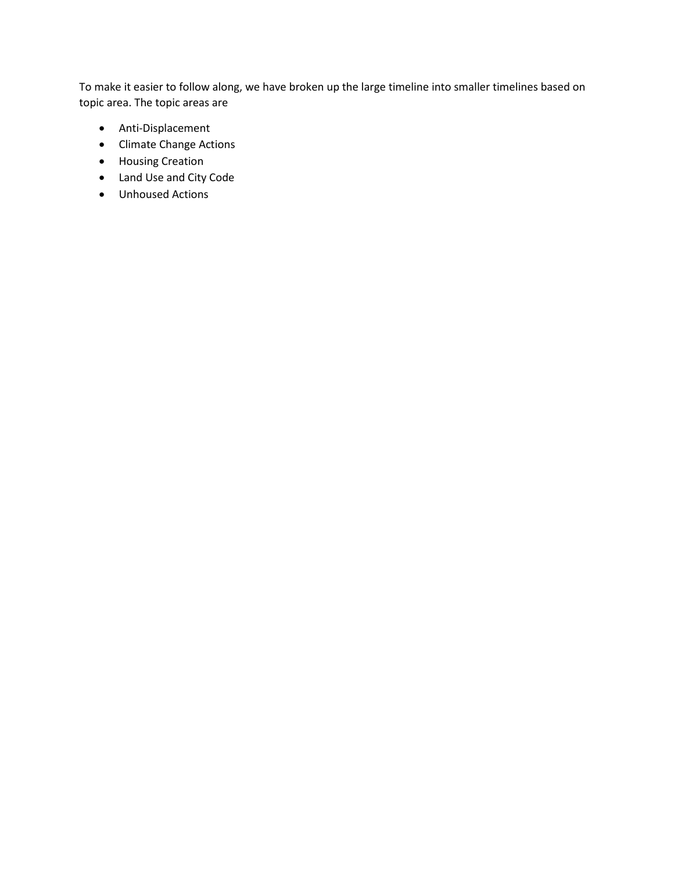To make it easier to follow along, we have broken up the large timeline into smaller timelines based on topic area. The topic areas are

- Anti-Displacement
- Climate Change Actions
- Housing Creation
- Land Use and City Code
- Unhoused Actions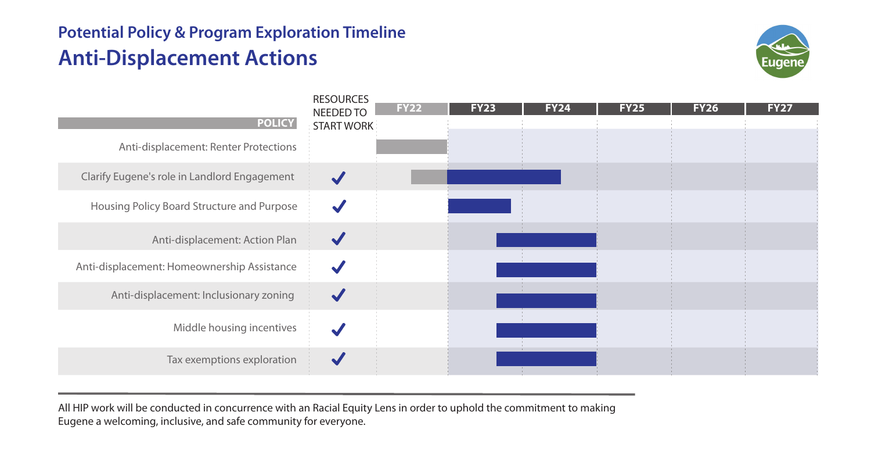# **Potential Policy & Program Exploration Timeline Anti-Displacement Actions**





All HIP work will be conducted in concurrence with an Racial Equity Lens in order to uphold the commitment to making Eugene a welcoming, inclusive, and safe community for everyone.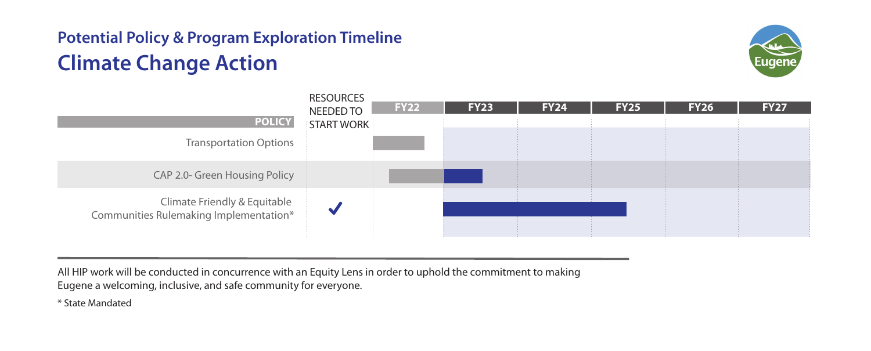# **Potential Policy & Program Exploration Timeline Climate Change Action**





All HIP work will be conducted in concurrence with an Equity Lens in order to uphold the commitment to making Eugene a welcoming, inclusive, and safe community for everyone.

\* State Mandated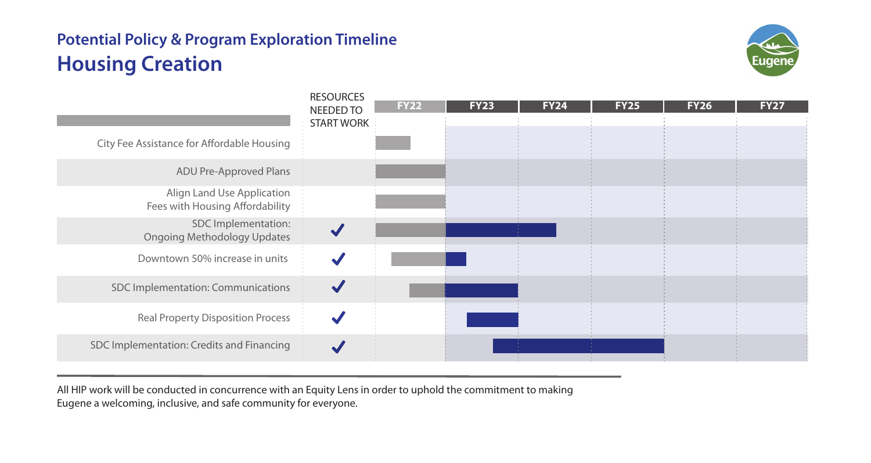### **Potential Policy & Program Exploration Timeline Housing Creation**



| <b>RESOURCES</b><br><b>NEEDED TO</b><br><b>START WORK</b> | <b>FY22</b> | <b>FY23</b> | <b>FY24</b> | <b>FY25</b> | <b>FY26</b> | <b>FY27</b> |
|-----------------------------------------------------------|-------------|-------------|-------------|-------------|-------------|-------------|
|                                                           |             |             |             |             |             |             |
|                                                           |             |             |             |             |             |             |
|                                                           |             |             |             |             |             |             |
|                                                           |             |             |             |             |             |             |
|                                                           |             |             |             |             |             |             |
|                                                           |             |             |             |             |             |             |
|                                                           |             |             |             |             |             |             |
|                                                           |             |             |             |             |             |             |
|                                                           |             |             |             |             |             |             |

All HIP work will be conducted in concurrence with an Equity Lens in order to uphold the commitment to making Eugene a welcoming, inclusive, and safe community for everyone.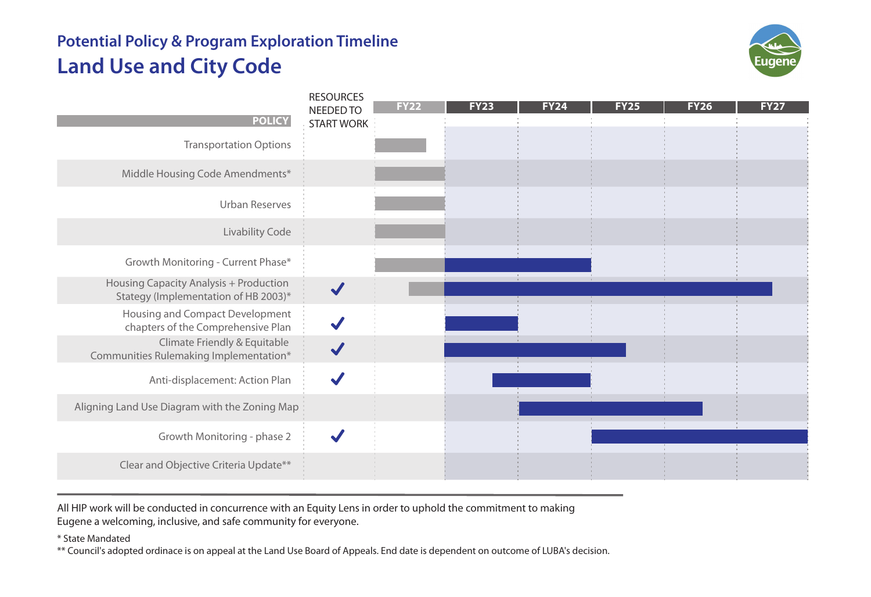# **Potential Policy & Program Exploration Timeline Land Use and City Code**



| <b>POLICY</b>                                                                         | <b>RESOURCES</b><br>NEEDED TO<br><b>START WORK</b> | FY22 | <b>FY23</b> | <b>FY24</b> | <b>FY25</b> | <b>FY26</b> | <b>FY27</b> |
|---------------------------------------------------------------------------------------|----------------------------------------------------|------|-------------|-------------|-------------|-------------|-------------|
| <b>Transportation Options</b>                                                         |                                                    |      |             |             |             |             |             |
| Middle Housing Code Amendments*                                                       |                                                    |      |             |             |             |             |             |
| <b>Urban Reserves</b>                                                                 |                                                    |      |             |             |             |             |             |
| <b>Livability Code</b>                                                                |                                                    |      |             |             |             |             |             |
| Growth Monitoring - Current Phase*                                                    |                                                    |      |             |             |             |             |             |
| <b>Housing Capacity Analysis + Production</b><br>Stategy (Implementation of HB 2003)* |                                                    |      |             |             |             |             |             |
| Housing and Compact Development<br>chapters of the Comprehensive Plan                 |                                                    |      |             |             |             |             |             |
| Climate Friendly & Equitable<br>Communities Rulemaking Implementation*                |                                                    |      |             |             |             |             |             |
| Anti-displacement: Action Plan                                                        |                                                    |      |             |             |             |             |             |
| Aligning Land Use Diagram with the Zoning Map                                         |                                                    |      |             |             |             |             |             |
| Growth Monitoring - phase 2                                                           |                                                    |      |             |             |             |             |             |
| Clear and Objective Criteria Update**                                                 |                                                    |      |             |             |             |             |             |

All HIP work will be conducted in concurrence with an Equity Lens in order to uphold the commitment to making Eugene a welcoming, inclusive, and safe community for everyone.

\* State Mandated

\*\* Council's adopted ordinace is on appeal at the Land Use Board of Appeals. End date is dependent on outcome of LUBA's decision.